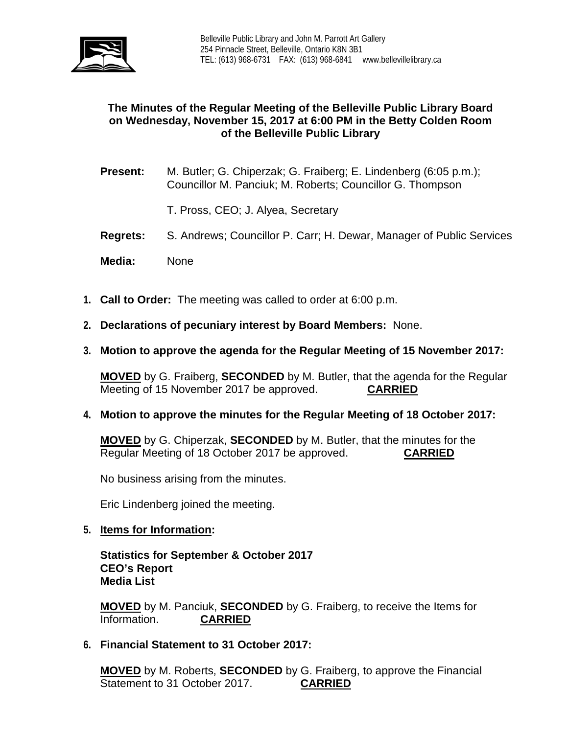

# **The Minutes of the Regular Meeting of the Belleville Public Library Board on Wednesday, November 15, 2017 at 6:00 PM in the Betty Colden Room of the Belleville Public Library**

- **Present:** M. Butler; G. Chiperzak; G. Fraiberg; E. Lindenberg (6:05 p.m.); Councillor M. Panciuk; M. Roberts; Councillor G. Thompson
	- T. Pross, CEO; J. Alyea, Secretary
- **Regrets:** S. Andrews; Councillor P. Carr; H. Dewar, Manager of Public Services
- **Media:** None
- **1. Call to Order:** The meeting was called to order at 6:00 p.m.
- **2. Declarations of pecuniary interest by Board Members:** None.
- **3. Motion to approve the agenda for the Regular Meeting of 15 November 2017:**

**MOVED** by G. Fraiberg, **SECONDED** by M. Butler, that the agenda for the Regular Meeting of 15 November 2017 be approved. Meeting of 15 November 2017 be approved.

**4. Motion to approve the minutes for the Regular Meeting of 18 October 2017:**

**MOVED** by G. Chiperzak, **SECONDED** by M. Butler, that the minutes for the Regular Meeting of 18 October 2017 be approved. **CARRIED**

No business arising from the minutes.

Eric Lindenberg joined the meeting.

**5. Items for Information:**

**Statistics for September & October 2017 CEO's Report Media List**

**MOVED** by M. Panciuk, **SECONDED** by G. Fraiberg, to receive the Items for Information. **CARRIED**

**6. Financial Statement to 31 October 2017:**

**MOVED** by M. Roberts, **SECONDED** by G. Fraiberg, to approve the Financial Statement to 31 October 2017. **CARRIED**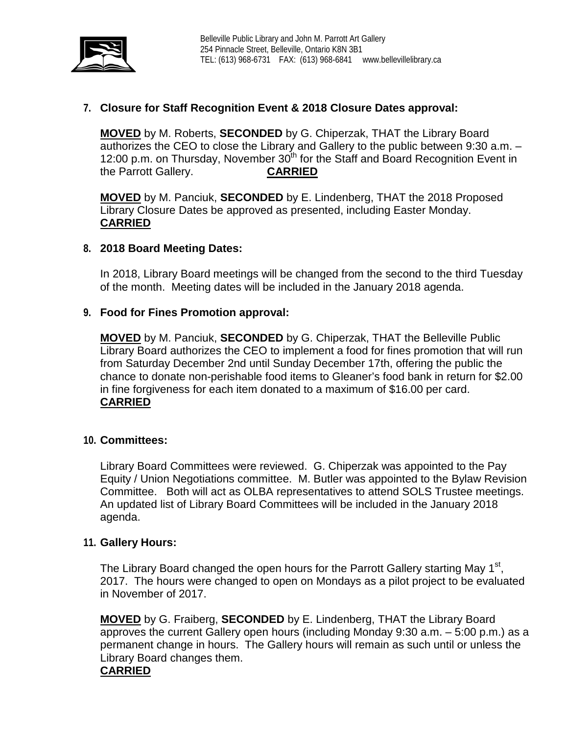

# **7. Closure for Staff Recognition Event & 2018 Closure Dates approval:**

**MOVED** by M. Roberts, **SECONDED** by G. Chiperzak, THAT the Library Board authorizes the CEO to close the Library and Gallery to the public between 9:30 a.m. – 12:00 p.m. on Thursday, November  $30<sup>th</sup>$  for the Staff and Board Recognition Event in the Parrott Gallery. **CARRIED**

**MOVED** by M. Panciuk, **SECONDED** by E. Lindenberg, THAT the 2018 Proposed Library Closure Dates be approved as presented, including Easter Monday. **CARRIED**

## **8. 2018 Board Meeting Dates:**

In 2018, Library Board meetings will be changed from the second to the third Tuesday of the month. Meeting dates will be included in the January 2018 agenda.

## **9. Food for Fines Promotion approval:**

**MOVED** by M. Panciuk, **SECONDED** by G. Chiperzak, THAT the Belleville Public Library Board authorizes the CEO to implement a food for fines promotion that will run from Saturday December 2nd until Sunday December 17th, offering the public the chance to donate non-perishable food items to Gleaner's food bank in return for \$2.00 in fine forgiveness for each item donated to a maximum of \$16.00 per card. **CARRIED**

#### **10. Committees:**

Library Board Committees were reviewed. G. Chiperzak was appointed to the Pay Equity / Union Negotiations committee. M. Butler was appointed to the Bylaw Revision Committee. Both will act as OLBA representatives to attend SOLS Trustee meetings. An updated list of Library Board Committees will be included in the January 2018 agenda.

#### **11. Gallery Hours:**

The Library Board changed the open hours for the Parrott Gallery starting May 1<sup>st</sup>, 2017. The hours were changed to open on Mondays as a pilot project to be evaluated in November of 2017.

**MOVED** by G. Fraiberg, **SECONDED** by E. Lindenberg, THAT the Library Board approves the current Gallery open hours (including Monday 9:30 a.m. – 5:00 p.m.) as a permanent change in hours. The Gallery hours will remain as such until or unless the Library Board changes them. **CARRIED**